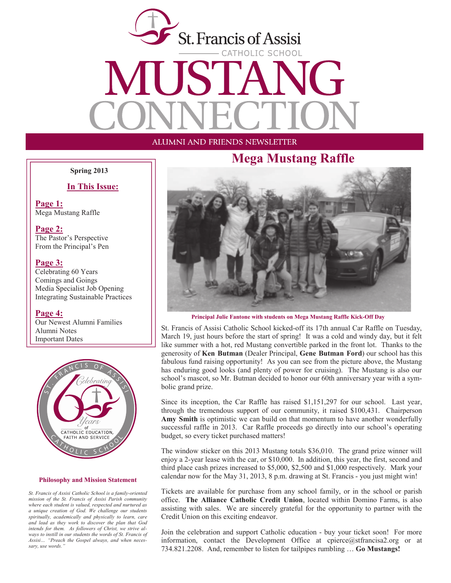

#### ALUMNI AND FRIENDS NEWSLETTER

**Spring 2013** 

#### **In This Issue:**

**Page 1:** Mega Mustang Raffle

**Page 2:** The Pastor's Perspective From the Principal's Pen

#### **Page 3:**

Celebrating 60 Years Comings and Goings Media Specialist Job Opening Integrating Sustainable Practices

#### **Page 4:**

Our Newest Alumni Families Alumni Notes Important Dates



#### **Philosophy and Mission Statement**

*St. Francis of Assisi Catholic School is a family-oriented mission of the St. Francis of Assisi Parish community where each student is valued, respected and nurtured as a unique creation of God. We challenge our students spiritually, academically and physically to learn, care and lead as they work to discover the plan that God intends for them. As followers of Christ, we strive always to instill in our students the words of St. Francis of Assisi… "Preach the Gospel always, and when necessary, use words."* 

### **Mega Mustang Raffle**



**Principal Julie Fantone with students on Mega Mustang Raffle Kick-Off Day** 

St. Francis of Assisi Catholic School kicked-off its 17th annual Car Raffle on Tuesday, March 19, just hours before the start of spring! It was a cold and windy day, but it felt like summer with a hot, red Mustang convertible parked in the front lot. Thanks to the generosity of **Ken Butman** (Dealer Principal, **Gene Butman Ford**) our school has this fabulous fund raising opportunity! As you can see from the picture above, the Mustang has enduring good looks (and plenty of power for cruising). The Mustang is also our school's mascot, so Mr. Butman decided to honor our 60th anniversary year with a symbolic grand prize.

Since its inception, the Car Raffle has raised \$1,151,297 for our school. Last year, through the tremendous support of our community, it raised \$100,431. Chairperson **Amy Smith** is optimistic we can build on that momentum to have another wonderfully successful raffle in 2013. Car Raffle proceeds go directly into our school's operating budget, so every ticket purchased matters!

The window sticker on this 2013 Mustang totals \$36,010. The grand prize winner will enjoy a 2-year lease with the car, or \$10,000. In addition, this year, the first, second and third place cash prizes increased to \$5,000, \$2,500 and \$1,000 respectively. Mark your calendar now for the May 31, 2013, 8 p.m. drawing at St. Francis - you just might win!

Tickets are available for purchase from any school family, or in the school or parish office. **The Alliance Catholic Credit Union**, located within Domino Farms, is also assisting with sales. We are sincerely grateful for the opportunity to partner with the Credit Union on this exciting endeavor.

Join the celebration and support Catholic education - buy your ticket soon! For more information, contact the Development Office at cpierce@stfrancisa2.org or at 734.821.2208. And, remember to listen for tailpipes rumbling … **Go Mustangs!**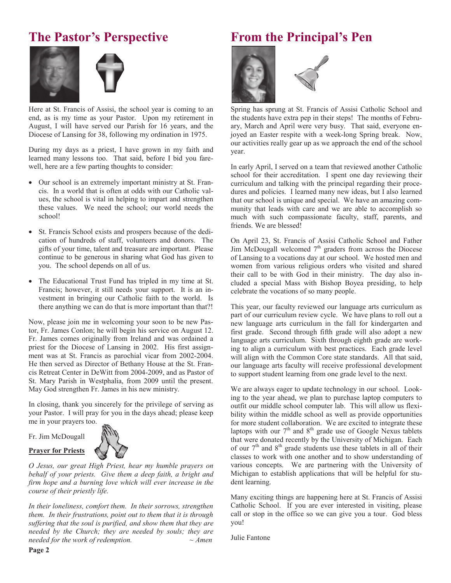# **The Pastor's Perspective**



Here at St. Francis of Assisi, the school year is coming to an end, as is my time as your Pastor. Upon my retirement in August, I will have served our Parish for 16 years, and the Diocese of Lansing for 38, following my ordination in 1975.

During my days as a priest, I have grown in my faith and learned many lessons too. That said, before I bid you farewell, here are a few parting thoughts to consider:

- Our school is an extremely important ministry at St. Francis. In a world that is often at odds with our Catholic values, the school is vital in helping to impart and strengthen these values. We need the school; our world needs the school!
- St. Francis School exists and prospers because of the dedication of hundreds of staff, volunteers and donors. The gifts of your time, talent and treasure are important. Please continue to be generous in sharing what God has given to you. The school depends on all of us.
- The Educational Trust Fund has tripled in my time at St. Francis; however, it still needs your support. It is an investment in bringing our Catholic faith to the world. Is there anything we can do that is more important than that?!

Now, please join me in welcoming your soon to be new Pastor, Fr. James Conlon; he will begin his service on August 12. Fr. James comes originally from Ireland and was ordained a priest for the Diocese of Lansing in 2002. His first assignment was at St. Francis as parochial vicar from 2002-2004. He then served as Director of Bethany House at the St. Francis Retreat Center in DeWitt from 2004-2009, and as Pastor of St. Mary Parish in Westphalia, from 2009 until the present. May God strengthen Fr. James in his new ministry.

In closing, thank you sincerely for the privilege of serving as your Pastor. I will pray for you in the days ahead; please keep me in your prayers too.

Fr. Jim McDougall



*O Jesus, our great High Priest, hear my humble prayers on behalf of your priests. Give them a deep faith, a bright and firm hope and a burning love which will ever increase in the course of their priestly life.* 

*In their loneliness, comfort them. In their sorrows, strengthen them. In their frustrations, point out to them that it is through suffering that the soul is purified, and show them that they are needed by the Church; they are needed by souls; they are needed for the work of redemption. ~ Amen* 

# **From the Principal's Pen**



Spring has sprung at St. Francis of Assisi Catholic School and the students have extra pep in their steps! The months of February, March and April were very busy. That said, everyone enjoyed an Easter respite with a week-long Spring break. Now, our activities really gear up as we approach the end of the school year.

In early April, I served on a team that reviewed another Catholic school for their accreditation. I spent one day reviewing their curriculum and talking with the principal regarding their procedures and policies. I learned many new ideas, but I also learned that our school is unique and special. We have an amazing community that leads with care and we are able to accomplish so much with such compassionate faculty, staff, parents, and friends. We are blessed!

On April 23, St. Francis of Assisi Catholic School and Father Jim McDougall welcomed  $7<sup>th</sup>$  graders from across the Diocese of Lansing to a vocations day at our school. We hosted men and women from various religious orders who visited and shared their call to be with God in their ministry. The day also included a special Mass with Bishop Boyea presiding, to help celebrate the vocations of so many people.

This year, our faculty reviewed our language arts curriculum as part of our curriculum review cycle. We have plans to roll out a new language arts curriculum in the fall for kindergarten and first grade. Second through fifth grade will also adopt a new language arts curriculum. Sixth through eighth grade are working to align a curriculum with best practices. Each grade level will align with the Common Core state standards. All that said, our language arts faculty will receive professional development to support student learning from one grade level to the next.

We are always eager to update technology in our school. Looking to the year ahead, we plan to purchase laptop computers to outfit our middle school computer lab. This will allow us flexibility within the middle school as well as provide opportunities for more student collaboration. We are excited to integrate these laptops with our  $7<sup>th</sup>$  and  $8<sup>th</sup>$  grade use of Google Nexus tablets that were donated recently by the University of Michigan. Each of our  $7<sup>th</sup>$  and  $8<sup>th</sup>$  grade students use these tablets in all of their classes to work with one another and to show understanding of various concepts. We are partnering with the University of Michigan to establish applications that will be helpful for student learning.

Many exciting things are happening here at St. Francis of Assisi Catholic School. If you are ever interested in visiting, please call or stop in the office so we can give you a tour. God bless you!

Julie Fantone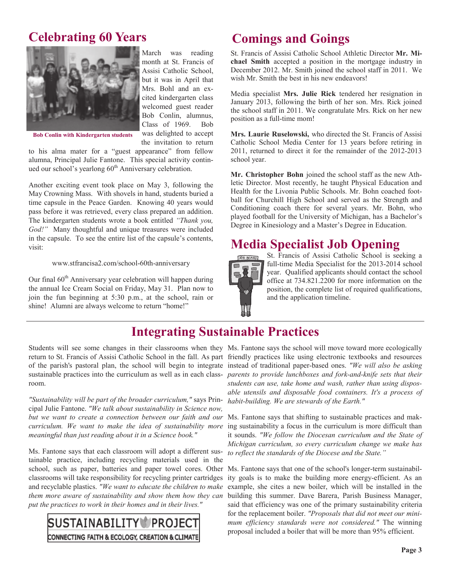## **Celebrating 60 Years**



March was reading month at St. Francis of Assisi Catholic School, but it was in April that Mrs. Bohl and an excited kindergarten class welcomed guest reader Bob Conlin, alumnus, Class of 1969. Bob was delighted to accept the invitation to return

**Bob Conlin with Kindergarten students** 

to his alma mater for a "guest appearance" from fellow alumna, Principal Julie Fantone. This special activity continued our school's yearlong  $60<sup>th</sup>$  Anniversary celebration.

Another exciting event took place on May 3, following the May Crowning Mass. With shovels in hand, students buried a time capsule in the Peace Garden. Knowing 40 years would pass before it was retrieved, every class prepared an addition. The kindergarten students wrote a book entitled *"Thank you, God!"* Many thoughtful and unique treasures were included in the capsule. To see the entire list of the capsule's contents, visit:

www.stfrancisa2.com/school-60th-anniversary

Our final  $60<sup>th</sup>$  Anniversary year celebration will happen during the annual Ice Cream Social on Friday, May 31. Plan now to join the fun beginning at 5:30 p.m., at the school, rain or shine! Alumni are always welcome to return "home!"

## **Comings and Goings**

St. Francis of Assisi Catholic School Athletic Director **Mr. Michael Smith** accepted a position in the mortgage industry in December 2012. Mr. Smith joined the school staff in 2011. We wish Mr. Smith the best in his new endeavors!

Media specialist **Mrs. Julie Rick** tendered her resignation in January 2013, following the birth of her son. Mrs. Rick joined the school staff in 2011. We congratulate Mrs. Rick on her new position as a full-time mom!

**Mrs. Laurie Ruselowski,** who directed the St. Francis of Assisi Catholic School Media Center for 13 years before retiring in 2011, returned to direct it for the remainder of the 2012-2013 school year.

**Mr. Christopher Bohn** joined the school staff as the new Athletic Director. Most recently, he taught Physical Education and Health for the Livonia Public Schools. Mr. Bohn coached football for Churchill High School and served as the Strength and Conditioning coach there for several years. Mr. Bohn, who played football for the University of Michigan, has a Bachelor's Degree in Kinesiology and a Master's Degree in Education.

#### **Media Specialist Job Opening**



St. Francis of Assisi Catholic School is seeking a full-time Media Specialist for the 2013-2014 school year. Qualified applicants should contact the school office at 734.821.2200 for more information on the position, the complete list of required qualifications, and the application timeline.

# **Integrating Sustainable Practices**

room.

*"Sustainability will be part of the broader curriculum,"* says Principal Julie Fantone. *"We talk about sustainability in Science now, but we want to create a connection between our faith and our curriculum. We want to make the idea of sustainability more meaningful than just reading about it in a Science book."*

Ms. Fantone says that each classroom will adopt a different sustainable practice, including recycling materials used in the school, such as paper, batteries and paper towel cores. Other Ms. Fantone says that one of the school's longer-term sustainabilclassrooms will take responsibility for recycling printer cartridges and recyclable plastics. *"We want to educate the children to make them more aware of sustainability and show them how they can put the practices to work in their homes and in their lives."* 



Students will see some changes in their classrooms when they Ms. Fantone says the school will move toward more ecologically return to St. Francis of Assisi Catholic School in the fall. As part friendly practices like using electronic textbooks and resources of the parish's pastoral plan, the school will begin to integrate instead of traditional paper-based ones. *"We will also be asking*  sustainable practices into the curriculum as well as in each class- *parents to provide lunchboxes and fork-and-knife sets that their students can use, take home and wash, rather than using disposable utensils and disposable food containers. It's a process of habit-building. We are stewards of the Earth."*

> Ms. Fantone says that shifting to sustainable practices and making sustainability a focus in the curriculum is more difficult than it sounds. *"We follow the Diocesan curriculum and the State of Michigan curriculum, so every curriculum change we make has to reflect the standards of the Diocese and the State."*

> ity goals is to make the building more energy-efficient. As an example, she cites a new boiler, which will be installed in the building this summer. Dave Barera, Parish Business Manager, said that efficiency was one of the primary sustainability criteria for the replacement boiler. *"Proposals that did not meet our minimum efficiency standards were not considered."* The winning proposal included a boiler that will be more than 95% efficient.